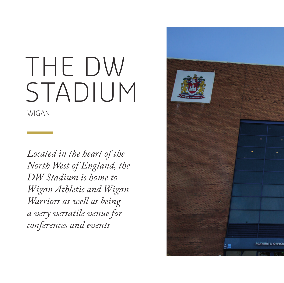## THE DW STADIUM

WIGAN

*Located in the heart of the North West of England, the DW Stadium is home to Wigan Athletic and Wigan Warriors as well as being a very versatile venue for conferences and events*

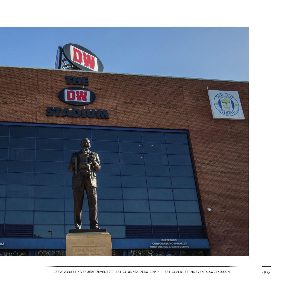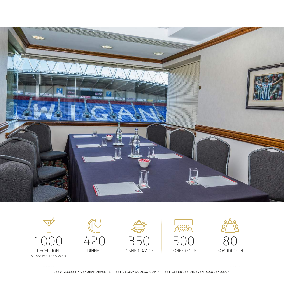